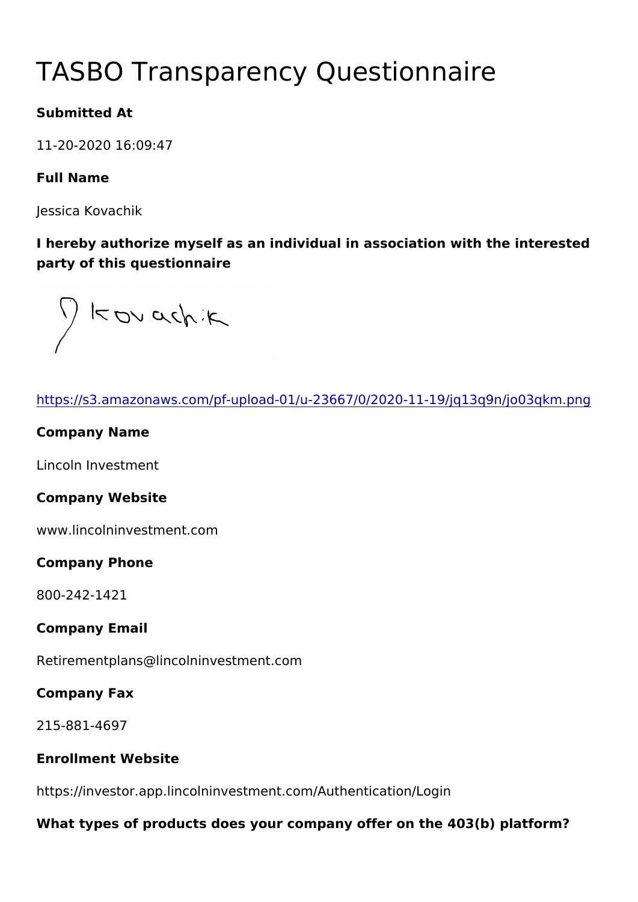# TASBO Transparency Questionna

Submitted At

11-20-2020 16:09:47

Full Name

Jessica Kovachik

I hereby authorize myself as an individual in association with the party of this questionnaire

| https://s3.amazonaws.com/pf-upload-01/u-23667/0/2020-11-19/jq1   |
|------------------------------------------------------------------|
| Company Name                                                     |
| Lincoln Investment                                               |
| Company Website                                                  |
| www.lincolninvestment.com                                        |
| Company Phone                                                    |
| 800-242-1421                                                     |
| Company Email                                                    |
| Retirementplans@lincolninvestment.com                            |
| Company Fax                                                      |
| $215 - 881 - 4697$                                               |
| Enrollment Website                                               |
| https://investor.app.lincolninvestment.com/Authentication/Login  |
| What types of products does your company offer on the 403(b) pla |
|                                                                  |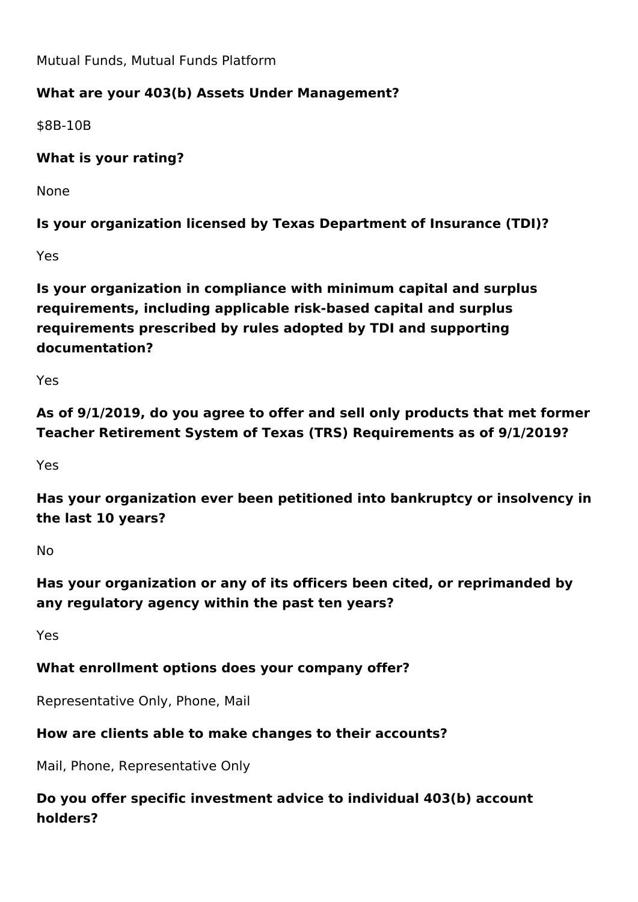Mutual Funds, Mutual Funds Platform

## **What are your 403(b) Assets Under Management?**

\$8B-10B

**What is your rating?** 

None

**Is your organization licensed by Texas Department of Insurance (TDI)?**

Yes

**Is your organization in compliance with minimum capital and surplus requirements, including applicable risk-based capital and surplus requirements prescribed by rules adopted by TDI and supporting documentation?**

Yes

**As of 9/1/2019, do you agree to offer and sell only products that met former Teacher Retirement System of Texas (TRS) Requirements as of 9/1/2019?**

Yes

**Has your organization ever been petitioned into bankruptcy or insolvency in the last 10 years?**

No

**Has your organization or any of its officers been cited, or reprimanded by any regulatory agency within the past ten years?**

Yes

## **What enrollment options does your company offer?**

Representative Only, Phone, Mail

## **How are clients able to make changes to their accounts?**

Mail, Phone, Representative Only

# **Do you offer specific investment advice to individual 403(b) account holders?**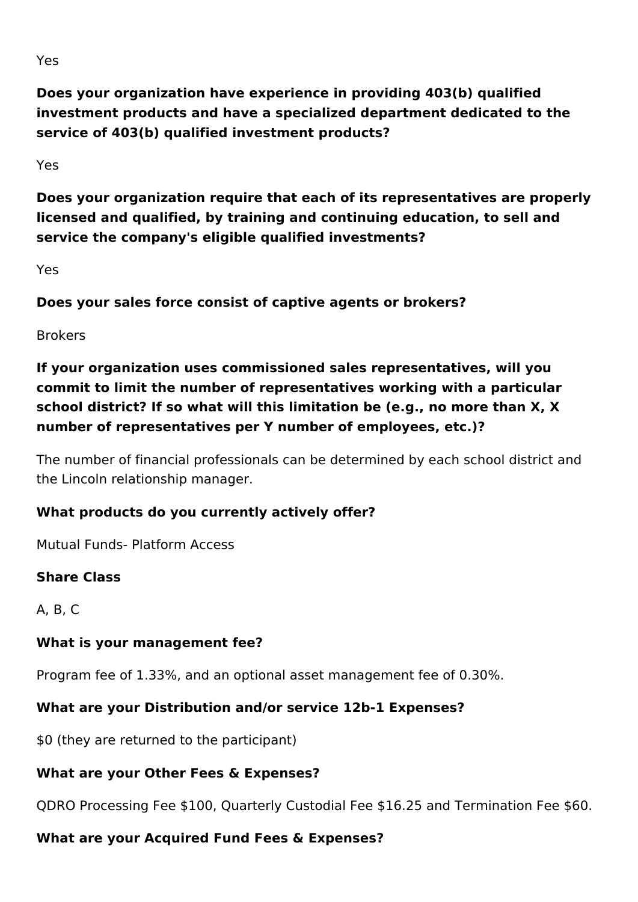**Does your organization have experience in providing 403(b) qualified investment products and have a specialized department dedicated to the service of 403(b) qualified investment products?**

Yes

**Does your organization require that each of its representatives are properly licensed and qualified, by training and continuing education, to sell and service the company's eligible qualified investments?** 

Yes

**Does your sales force consist of captive agents or brokers?**

Brokers

**If your organization uses commissioned sales representatives, will you commit to limit the number of representatives working with a particular school district? If so what will this limitation be (e.g., no more than X, X number of representatives per Y number of employees, etc.)?**

The number of financial professionals can be determined by each school district and the Lincoln relationship manager.

## **What products do you currently actively offer?**

Mutual Funds- Platform Access

#### **Share Class**

A, B, C

## **What is your management fee?**

Program fee of 1.33%, and an optional asset management fee of 0.30%.

## **What are your Distribution and/or service 12b-1 Expenses?**

\$0 (they are returned to the participant)

# **What are your Other Fees & Expenses?**

QDRO Processing Fee \$100, Quarterly Custodial Fee \$16.25 and Termination Fee \$60.

# **What are your Acquired Fund Fees & Expenses?**